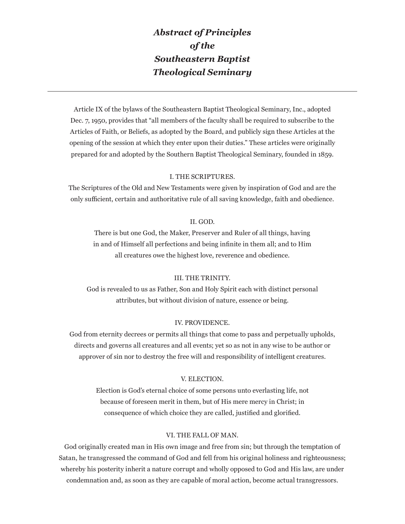# *Abstract of Principles of the Southeastern Baptist Theological Seminary*

Article IX of the bylaws of the Southeastern Baptist Theological Seminary, Inc., adopted Dec. 7, 1950, provides that "all members of the faculty shall be required to subscribe to the Articles of Faith, or Beliefs, as adopted by the Board, and publicly sign these Articles at the opening of the session at which they enter upon their duties." These articles were originally prepared for and adopted by the Southern Baptist Theological Seminary, founded in 1859.

# I. The Scriptures.

The Scriptures of the Old and New Testaments were given by inspiration of God and are the only sufficient, certain and authoritative rule of all saving knowledge, faith and obedience.

## II. God.

There is but one God, the Maker, Preserver and Ruler of all things, having in and of Himself all perfections and being infinite in them all; and to Him all creatures owe the highest love, reverence and obedience.

# III. The Trinity.

God is revealed to us as Father, Son and Holy Spirit each with distinct personal attributes, but without division of nature, essence or being.

### IV. Providence.

God from eternity decrees or permits all things that come to pass and perpetually upholds, directs and governs all creatures and all events; yet so as not in any wise to be author or approver of sin nor to destroy the free will and responsibility of intelligent creatures.

# V. ELECTION.

Election is God's eternal choice of some persons unto everlasting life, not because of foreseen merit in them, but of His mere mercy in Christ; in consequence of which choice they are called, justified and glorified.

# VI. The Fall of Man.

God originally created man in His own image and free from sin; but through the temptation of Satan, he transgressed the command of God and fell from his original holiness and righteousness; whereby his posterity inherit a nature corrupt and wholly opposed to God and His law, are under condemnation and, as soon as they are capable of moral action, become actual transgressors.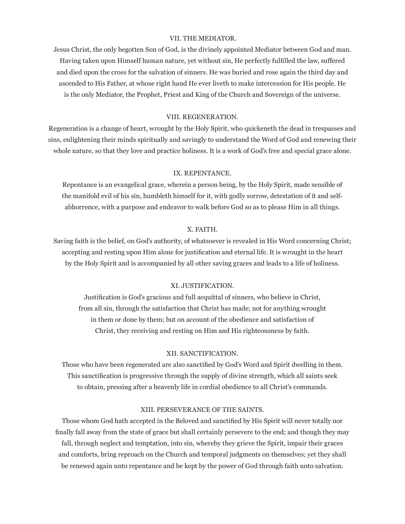#### VII. The Mediator.

Jesus Christ, the only begotten Son of God, is the divinely appointed Mediator between God and man. Having taken upon Himself human nature, yet without sin, He perfectly fulfilled the law, suffered and died upon the cross for the salvation of sinners. He was buried and rose again the third day and ascended to His Father, at whose right hand He ever liveth to make intercession for His people. He is the only Mediator, the Prophet, Priest and King of the Church and Sovereign of the universe.

# VIII. Regeneration.

Regeneration is a change of heart, wrought by the Holy Spirit, who quickeneth the dead in trespasses and sins, enlightening their minds spiritually and savingly to understand the Word of God and renewing their whole nature, so that they love and practice holiness. It is a work of God's free and special grace alone.

## IX. Repentance.

Repentance is an evangelical grace, wherein a person being, by the Holy Spirit, made sensible of the manifold evil of his sin, humbleth himself for it, with godly sorrow, detestation of it and selfabhorrence, with a purpose and endeavor to walk before God so as to please Him in all things.

# X. Faith.

Saving faith is the belief, on God's authority, of whatsoever is revealed in His Word concerning Christ; accepting and resting upon Him alone for justification and eternal life. It is wrought in the heart by the Holy Spirit and is accompanied by all other saving graces and leads to a life of holiness.

# XI. Justification.

Justification is God's gracious and full acquittal of sinners, who believe in Christ, from all sin, through the satisfaction that Christ has made; not for anything wrought in them or done by them; but on account of the obedience and satisfaction of Christ, they receiving and resting on Him and His righteousness by faith.

# XII. SANCTIFICATION.

Those who have been regenerated are also sanctified by God's Word and Spirit dwelling in them. This sanctification is progressive through the supply of divine strength, which all saints seek to obtain, pressing after a heavenly life in cordial obedience to all Christ's commands.

# XIII. Perseverance of the Saints.

Those whom God hath accepted in the Beloved and sanctified by His Spirit will never totally nor finally fall away from the state of grace but shall certainly persevere to the end; and though they may fall, through neglect and temptation, into sin, whereby they grieve the Spirit, impair their graces and comforts, bring reproach on the Church and temporal judgments on themselves; yet they shall be renewed again unto repentance and be kept by the power of God through faith unto salvation.